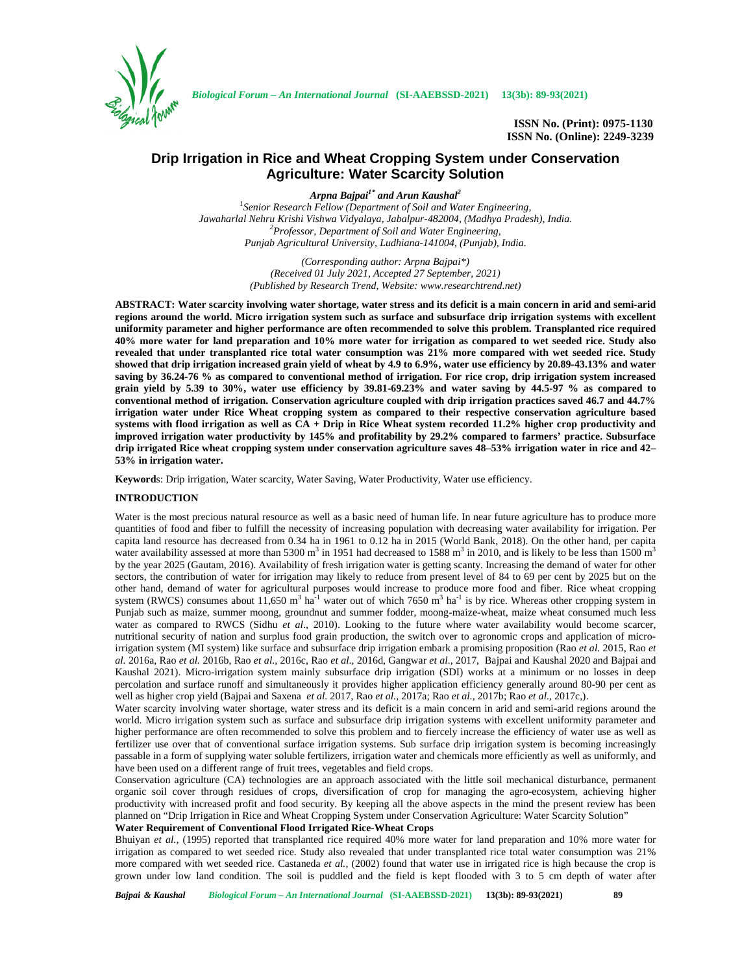

*Biological Forum – An International Journal* **(SI-AAEBSSD-2021) 13(3b): 89-93(2021)**

**ISSN No. (Print): 0975-1130 ISSN No. (Online): 2249-3239**

# **Drip Irrigation in Rice and Wheat Cropping System under Conservation Agriculture: Water Scarcity Solution**

*Arpna Bajpai1\* and Arun Kaushal<sup>2</sup>*

*<sup>1</sup>Senior Research Fellow (Department of Soil and Water Engineering, Jawaharlal Nehru Krishi Vishwa Vidyalaya, Jabalpur-482004, (Madhya Pradesh), India. <sup>2</sup>Professor, Department of Soil and Water Engineering, Punjab Agricultural University, Ludhiana-141004, (Punjab), India.*

> *(Corresponding author: Arpna Bajpai\*) (Received 01 July 2021, Accepted 27 September, 2021) (Published by Research Trend, Website: <www.researchtrend.net>)*

**ABSTRACT: Water scarcity involving water shortage, water stress and its deficit is a main concern in arid and semi-arid regions around the world. Micro irrigation system such as surface and subsurface drip irrigation systems with excellent uniformity parameter and higher performance are often recommended to solve this problem. Transplanted rice required 40% more water for land preparation and 10% more water for irrigation as compared to wet seeded rice. Study also revealed that under transplanted rice total water consumption was 21% more compared with wet seeded rice. Study showed that drip irrigation increased grain yield of wheat by 4.9 to 6.9%, water use efficiency by 20.89-43.13% and water saving by 36.24-76 % as compared to conventional method of irrigation. For rice crop, drip irrigation system increased grain yield by 5.39 to 30%, water use efficiency by 39.81-69.23% and water saving by 44.5-97 % as compared to conventional method of irrigation. Conservation agriculture coupled with drip irrigation practices saved 46.7 and 44.7% irrigation water under Rice Wheat cropping system as compared to their respective conservation agriculture based systems with flood irrigation as well as CA + Drip in Rice Wheat system recorded 11.2% higher crop productivity and improved irrigation water productivity by 145% and profitability by 29.2% compared to farmers' practice. Subsurface drip irrigated Rice wheat cropping system under conservation agriculture saves 48–53% irrigation water in rice and 42– 53% in irrigation water.**

**Keyword**s: Drip irrigation, Water scarcity, Water Saving, Water Productivity, Water use efficiency.

### **INTRODUCTION**

Water is the most precious natural resource as well as a basic need of human life. In near future agriculture has to produce more quantities of food and fiber to fulfill the necessity of increasing population with decreasing water availability for irrigation. Per capita land resource has decreased from 0.34 ha in 1961 to 0.12 ha in 2015 (World Bank, 2018). On the other hand, per capita water availability assessed at more than 5300 m<sup>3</sup> in 1951 had decreased to 1588 m<sup>3</sup> in 2010, and is likely to be less than 1500 m<sup>3</sup> by the year 2025 (Gautam, 2016). Availability of fresh irrigation water is getting scanty. Increasing the demand of water for other sectors, the contribution of water for irrigation may likely to reduce from present level of 84 to 69 per cent by 2025 but on the other hand, demand of water for agricultural purposes would increase to produce more food and fiber. Rice wheat cropping system (RWCS) consumes about 11,650 m<sup>3</sup> ha<sup>-1</sup> water out of which 7650 m<sup>3</sup> ha<sup>-1</sup> is by rice. Whereas other cropping system in Punjab such as maize, summer moong, groundnut and summer fodder, moong-maize-wheat, maize wheat consumed much less water as compared to RWCS (Sidhu *et al.*, 2010). Looking to the future where water availability would become scarcer, nutritional security of nation and surplus food grain production, the switch over to agronomic crops and application of microirrigation system (MI system) like surface and subsurface drip irrigation embark a promising proposition (Rao *et al.* 2015, Rao *et al.* 2016a, Rao *et al.* 2016b, Rao *et al.,* 2016c, Rao *et al*., 2016d, Gangwar *et al.,* 2017, Bajpai and Kaushal 2020 and Bajpai and Kaushal 2021). Micro-irrigation system mainly subsurface drip irrigation (SDI) works at a minimum or no losses in deep percolation and surface runoff and simultaneously it provides higher application efficiency generally around 80-90 per cent as well as higher crop yield (Bajpai and Saxena *et al.* 2017, Rao *et al.,* 2017a; Rao *et al.,* 2017b; Rao *et al.,* 2017c,).

Water scarcity involving water shortage, water stress and its deficit is a main concern in arid and semi-arid regions around the world. Micro irrigation system such as surface and subsurface drip irrigation systems with excellent uniformity parameter and higher performance are often recommended to solve this problem and to fiercely increase the efficiency of water use as well as fertilizer use over that of conventional surface irrigation systems. Sub surface drip irrigation system is becoming increasingly passable in a form of supplying water soluble fertilizers, irrigation water and chemicals more efficiently as well as uniformly, and have been used on a different range of fruit trees, vegetables and field crops.

Conservation agriculture (CA) technologies are an approach associated with the little soil mechanical disturbance, permanent organic soil cover through residues of crops, diversification of crop for managing the agro-ecosystem, achieving higher productivity with increased profit and food security. By keeping all the above aspects in the mind the present review has been planned on "Drip Irrigation in Rice and Wheat Cropping System under Conservation Agriculture: Water Scarcity Solution"

## **Water Requirement of Conventional Flood Irrigated Rice-Wheat Crops**

Bhuiyan *et al.,* (1995) reported that transplanted rice required 40% more water for land preparation and 10% more water for irrigation as compared to wet seeded rice. Study also revealed that under transplanted rice total water consumption was 21% more compared with wet seeded rice. Castaneda *et al.,* (2002) found that water use in irrigated rice is high because the crop is grown under low land condition. The soil is puddled and the field is kept flooded with 3 to 5 cm depth of water after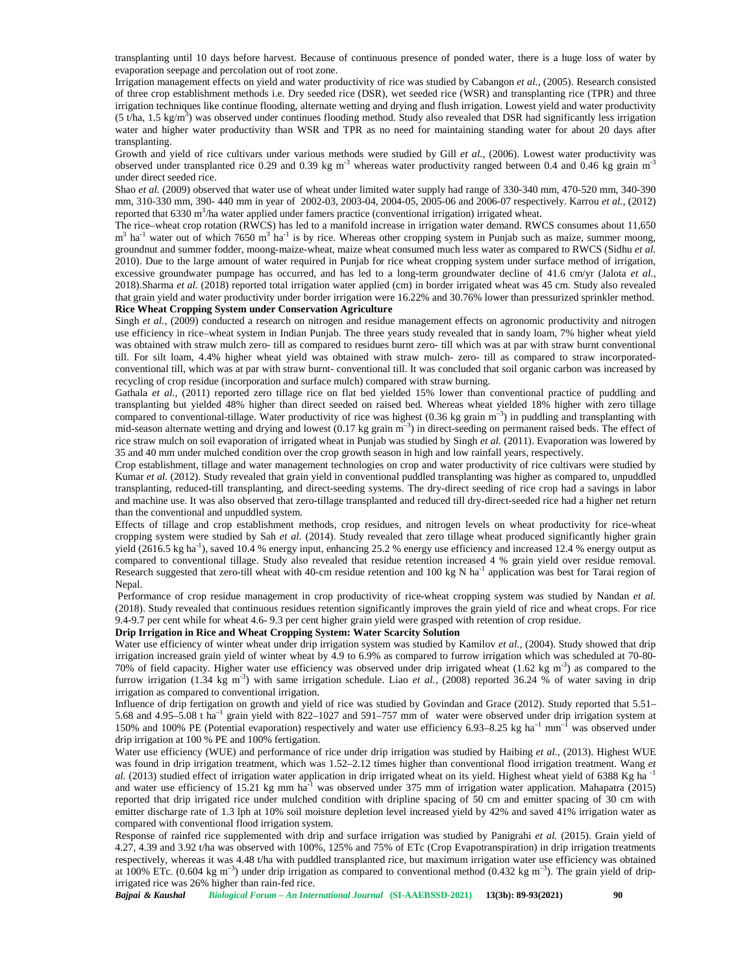transplanting until 10 days before harvest. Because of continuous presence of ponded water, there is a huge loss of water by evaporation seepage and percolation out of root zone.

Irrigation management effects on yield and water productivity of rice was studied by Cabangon *et al.,* (2005). Research consisted of three crop establishment methods i.e. Dry seeded rice (DSR), wet seeded rice (WSR) and transplanting rice (TPR) and three irrigation techniques like continue flooding, alternate wetting and drying and flush irrigation. Lowest yield and water productivity (5 t/ha, 1.5 kg/m<sup>3</sup>) was observed under continues flooding method. Study also revealed that DSR had significantly less irrigation water and higher water productivity than WSR and TPR as no need for maintaining standing water for about 20 days after transplanting.

Growth and yield of rice cultivars under various methods were studied by Gill *et al.,* (2006). Lowest water productivity was observed under transplanted rice 0.29 and 0.39 kg m<sup>-3</sup> whereas water productivity ranged between 0.4 and 0.46 kg grain m<sup>-3</sup> under direct seeded rice.

Shao *et al.* (2009) observed that water use of wheat under limited water supply had range of 330-340 mm, 470-520 mm, 340-390 mm, 310-330 mm, 390- 440 mm in year of 2002-03, 2003-04, 2004-05, 2005-06 and 2006-07 respectively. Karrou *et al.,* (2012) reported that 6330 m<sup>3</sup>/ha water applied under famers practice (conventional irrigation) irrigated wheat.

The rice–wheat crop rotation (RWCS) has led to a manifold increase in irrigation water demand. RWCS consumes about 11,650  $m<sup>3</sup>$  ha<sup>-1</sup> water out of which 7650  $m<sup>3</sup>$  ha<sup>-1</sup> is by rice. Whereas other cropping system in Punjab such as maize, summer moong, groundnut and summer fodder, moong-maize-wheat, maize wheat consumed much less water as compared to RWCS (Sidhu *et al.* 2010). Due to the large amount of water required in Punjab for rice wheat cropping system under surface method of irrigation, excessive groundwater pumpage has occurred, and has led to a long-term groundwater decline of 41.6 cm/yr (Jalota *et al.,* 2018).Sharma *et al.* (2018) reported total irrigation water applied (cm) in border irrigated wheat was 45 cm. Study also revealed that grain yield and water productivity under border irrigation were 16.22% and 30.76% lower than pressurized sprinkler method. **Rice Wheat Cropping System under Conservation Agriculture**

Singh *et al.*, (2009) conducted a research on nitrogen and residue management effects on agronomic productivity and nitrogen use efficiency in rice–wheat system in Indian Punjab. The three years study revealed that in sandy loam, 7% higher wheat yield was obtained with straw mulch zero- till as compared to residues burnt zero- till which was at par with straw burnt conventional till. For silt loam, 4.4% higher wheat yield was obtained with straw mulch- zero- till as compared to straw incorporated conventional till, which was at par with straw burnt- conventional till. It was concluded that soil organic carbon was increased by recycling of crop residue (incorporation and surface mulch) compared with straw burning.

Gathala *et al.,* (2011) reported zero tillage rice on flat bed yielded 15% lower than conventional practice of puddling and transplanting but yielded 48% higher than direct seeded on raised bed. Whereas wheat yielded 18% higher with zero tillage compared to conventional-tillage. Water productivity of rice was highest  $(0.36 \text{ kg grain m}^{-3})$  in puddling and transplanting with mid-season alternate wetting and drying and lowest (0.17 kg grain m<sup>-3</sup>) in direct-seeding on permanent raised beds. The effect of rice straw mulch on soil evaporation of irrigated wheat in Punjab was studied by Singh *et al.* (2011). Evaporation was lowered by 35 and 40 mm under mulched condition over the crop growth season in high and low rainfall years, respectively.

Crop establishment, tillage and water management technologies on crop and water productivity of rice cultivars were studied by Kumar *et al.* (2012). Study revealed that grain yield in conventional puddled transplanting was higher as compared to, unpuddled transplanting, reduced-till transplanting, and direct-seeding systems. The dry-direct seeding of rice crop had a savings in labor and machine use. It was also observed that zero-tillage transplanted and reduced till dry-direct-seeded rice had a higher net return than the conventional and unpuddled system.

Effects of tillage and crop establishment methods, crop residues, and nitrogen levels on wheat productivity for rice-wheat cropping system were studied by Sah *et al.* (2014). Study revealed that zero tillage wheat produced significantly higher grain yield (2616.5 kg ha<sup>-1</sup>), saved 10.4 % energy input, enhancing 25.2 % energy use efficiency and increased 12.4 % energy output as compared to conventional tillage. Study also revealed that residue retention increased 4 % grain yield over residue removal. Research suggested that zero-till wheat with 40-cm residue retention and 100 kg N ha<sup>-1</sup> application was best for Tarai region of Nepal.

Performance of crop residue management in crop productivity of rice-wheat cropping system was studied by Nandan *et al.* (2018). Study revealed that continuous residues retention significantly improves the grain yield of rice and wheat crops. For rice 9.4-9.7 per cent while for wheat 4.6- 9.3 per cent higher grain yield were grasped with retention of crop residue.

**Drip Irrigation in Rice and Wheat Cropping System: Water Scarcity Solution**

Water use efficiency of winter wheat under drip irrigation system was studied by Kamilov *et al.,* (2004). Study showed that drip irrigation increased grain yield of winter wheat by 4.9 to 6.9% as compared to furrow irrigation which was scheduled at 70-80- 70% of field capacity. Higher water use efficiency was observed under drip irrigated wheat  $(1.62 \text{ kg m}^3)$  as compared to the furrow irrigation (1.34 kg m<sup>-3</sup>) with same irrigation schedule. Liao *et al.*, (2008) reported 36.24 % of water saving in drip irrigation as compared to conventional irrigation.

Influence of drip fertigation on growth and yield of rice was studied by Govindan and Grace (2012). Study reported that 5.51– 5.68 and  $4.95-5.08$  t ha<sup>-1</sup> grain yield with 822-1027 and 591-757 mm of water were observed under drip irrigation system at 150% and 100% PE (Potential evaporation) respectively and water use efficiency 6.93–8.25 kg  $ha^{-1}$  mm<sup>-1</sup> was observed under drip irrigation at 100 % PE and 100% fertigation.

Water use efficiency (WUE) and performance of rice under drip irrigation was studied by Haibing *et al.,* (2013). Highest WUE was found in drip irrigation treatment, which was 1.52–2.12 times higher than conventional flood irrigation treatment. Wang *et al.* (2013) studied effect of irrigation water application in drip irrigated wheat on its yield. Highest wheat yield of 6388 Kg ha<sup>-1</sup> and water use efficiency of 15.21 kg mm ha<sup>-1</sup> was observed under 375 mm of irrigation water application. Mahapatra (2015) reported that drip irrigated rice under mulched condition with dripline spacing of 50 cm and emitter spacing of 30 cm with emitter discharge rate of 1.3 lph at 10% soil moisture depletion level increased yield by 42% and saved 41% irrigation water as compared with conventional flood irrigation system.

Response of rainfed rice supplemented with drip and surface irrigation was studied by Panigrahi *et al.* (2015). Grain yield of 4.27, 4.39 and 3.92 t/ha was observed with 100%, 125% and 75% of ETc (Crop Evapotranspiration) in drip irrigation treatments respectively, whereas it was 4.48 t/ha with puddled transplanted rice, but maximum irrigation water use efficiency was obtained at 100% ETc. (0.604 kg m<sup>-3</sup>) under drip irrigation as compared to conventional method (0.432 kg m<sup>-3</sup>). The grain yield of dripirrigated rice was 26% higher than rain-fed rice.

*Bajpai & Kaushal Biological Forum – An International Journal* **(SI-AAEBSSD-2021) 13(3b): 89-93(2021) 90**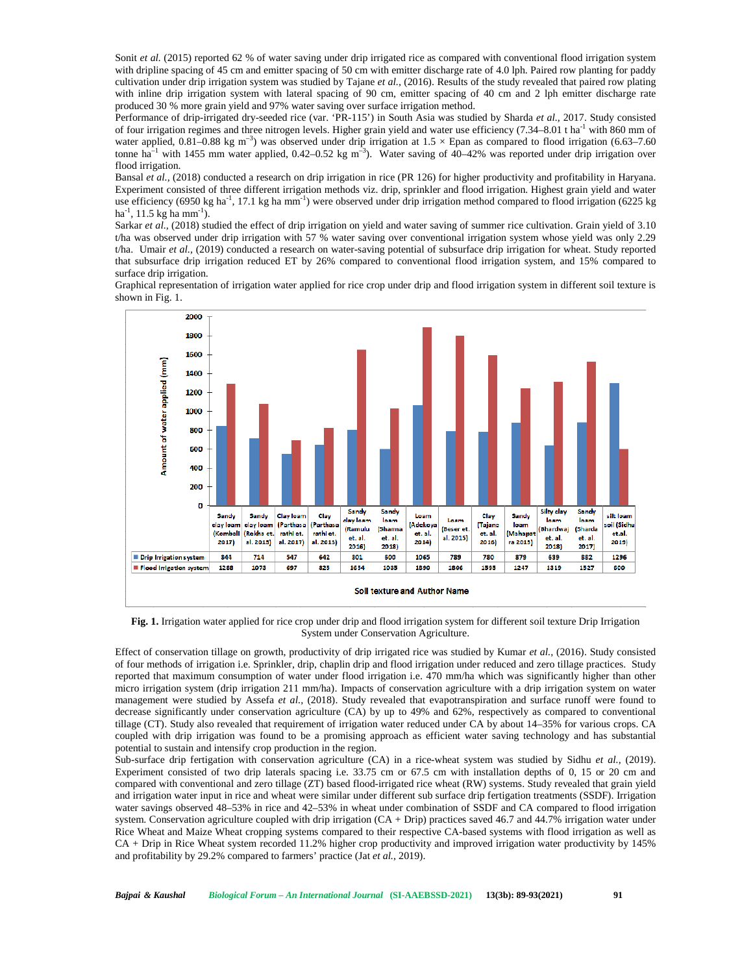Sonit *et al.* (2015) reported 62 % of water saving under drip irrigated rice as compared with conventional flood irrigation system with dripline spacing of 45 cm and emitter spacing of 50 cm with emitter discharge rate of 4.0 lph. Paired row planting for paddy cultivation under drip irrigation system was studied by Tajane *et al.,* (2016). Results of the study revealed that paired row plating with inline drip irrigation system with lateral spacing of 90 cm, emitter spacing of 40 cm and 2 lph emitter discharge rate produced 30 % more grain yield and 97% water saving over surface irrigation method.

Performance of drip-irrigated dry-seeded rice (var. 'PR-115') in South Asia was studied by Sharda *et al.,* 2017. Study consisted of four irrigation regimes and three nitrogen levels. Higher grain yield and water use efficiency  $(7.34-8.01 \text{ t} \text{ ha}^{-1}$  with 860 mm of water applied,  $0.81-0.88$  kg m<sup>-3</sup>) was observed under drip irrigation at  $1.5 \times$  Epan as compared to flood irrigation (6.63–7.60 tonne ha<sup>-1</sup> with 1455 mm water applied, 0.42–0.52 kg m<sup>-3</sup>). Water saving of 40–42% was reported under drip irrigation over flood irrigation.

Bansal *et al.,* (2018) conducted a research on drip irrigation in rice (PR 126) for higher productivity and profitability in Haryana. Experiment consisted of three different irrigation methods viz. drip, sprinkler and flood irrigation. Highest grain yield and water use efficiency (6950 kg ha<sup>-1</sup>, 17.1 kg ha mm<sup>-1</sup>) were observed under drip irrigation method compared to flood irrigation (6225 kg ha-1 , 11.5 kg ha mm-1 ).

Sarkar *et al.*, (2018) studied the effect of drip irrigation on yield and water saving of summer rice cultivation. Grain yield of 3.10 t/ha was observed under drip irrigation with 57 % water saving over conventional irrigation system whose yield was only 2.29 t/ha. Umair *et al.,* (2019) conducted a research on water-saving potential of subsurface drip irrigation for wheat. Study reported that subsurface drip irrigation reduced ET by 26% compared to conventional flood irrigation system, and 15% compared to surface drip irrigation.

Graphical representation of irrigation water applied for rice crop under drip and flood irrigation system in different soil texture is shown in Fig. 1.



**Fig. 1.** Irrigation water applied for rice crop under drip and flood irrigation system for different soil texture Drip Irrigation System under Conservation Agriculture.

Effect of conservation tillage on growth, productivity of drip irrigated rice was studied by Kumar *et al.,* (2016). Study consisted of four methods of irrigation i.e. Sprinkler, drip, chaplin drip and flood irrigation under reduced and zero tillage practices. Study reported that maximum consumption of water under flood irrigation i.e. 470 mm/ha which was significantly higher than other micro irrigation system (drip irrigation 211 mm/ha). Impacts of conservation agriculture with a drip irrigation system on water management were studied by Assefa *et al.,* (2018). Study revealed that evapotranspiration and surface runoff were found to decrease significantly under conservation agriculture (CA) by up to 49% and 62%, respectively as compared to conventional tillage (CT). Study also revealed that requirement of irrigation water reduced under CA by about 14–35% for various crops. CA coupled with drip irrigation was found to be a promising approach as efficient water saving technology and has substantial potential to sustain and intensify crop production in the region.

Sub-surface drip fertigation with conservation agriculture (CA) in a rice-wheat system was studied by Sidhu *et al.,* (2019). Experiment consisted of two drip laterals spacing i.e. 33.75 cm or 67.5 cm with installation depths of 0, 15 or 20 cm and compared with conventional and zero tillage (ZT) based flood-irrigated rice wheat (RW) systems. Study revealed that grain yield and irrigation water input in rice and wheat were similar under different sub surface drip fertigation treatments (SSDF). Irrigation water savings observed 48–53% in rice and 42–53% in wheat under combination of SSDF and CA compared to flood irrigation system. Conservation agriculture coupled with drip irrigation (CA + Drip) practices saved 46.7 and 44.7% irrigation water under Rice Wheat and Maize Wheat cropping systems compared to their respective CA-based systems with flood irrigation as well as CA + Drip in Rice Wheat system recorded 11.2% higher crop productivity and improved irrigation water productivity by 145% and profitability by 29.2% compared to farmers' practice (Jat *et al.,* 2019).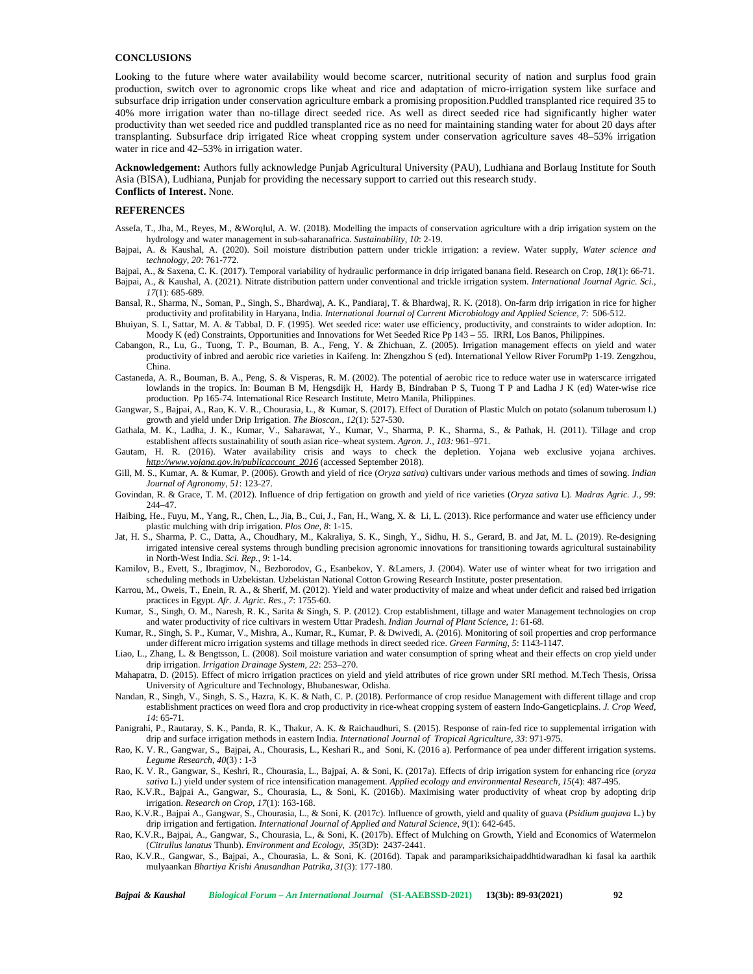#### **CONCLUSIONS**

Looking to the future where water availability would become scarcer, nutritional security of nation and surplus food grain production, switch over to agronomic crops like wheat and rice and adaptation of micro-irrigation system like surface and subsurface drip irrigation under conservation agriculture embark a promising proposition.Puddled transplanted rice required 35 to 40% more irrigation water than no-tillage direct seeded rice. As well as direct seeded rice had significantly higher water productivity than wet seeded rice and puddled transplanted rice as no need for maintaining standing water for about 20 days after transplanting. Subsurface drip irrigated Rice wheat cropping system under conservation agriculture saves 48–53% irrigation water in rice and 42–53% in irrigation water.

**Acknowledgement:** Authors fully acknowledge Punjab Agricultural University (PAU), Ludhiana and Borlaug Institute for South Asia (BISA), Ludhiana, Punjab for providing the necessary support to carried out this research study. **Conflicts of Interest.** None.

#### **REFERENCES**

- Assefa, T., Jha, M., Reyes, M., &Worqlul, A. W. (2018). Modelling the impacts of conservation agriculture with a drip irrigation system on the hydrology and water management in sub-saharanafrica. *Sustainability, 10*: 2-19.
- Bajpai, A. & Kaushal, A. (2020). Soil moisture distribution pattern under trickle irrigation: a review. Water supply, *Water science and technology, 20*: 761-772.
- Bajpai, A., & Saxena, C. K. (2017). Temporal variability of hydraulic performance in drip irrigated banana field. Research on Crop, *18*(1): 66-71.
- Bajpai, A., & Kaushal, A. (2021). Nitrate distribution pattern under conventional and trickle irrigation system. *International Journal Agric. Sci*., *17*(1): 685-689.
- Bansal, R., Sharma, N., Soman, P., Singh, S., Bhardwaj, A. K., Pandiaraj, T. & Bhardwaj, R. K. (2018). On-farm drip irrigation in rice for higher productivity and profitability in Haryana, India. *International Journal of Current Microbiology and Applied Science, 7*: 506-512.
- Bhuiyan, S. I., Sattar, M. A. & Tabbal, D. F. (1995). Wet seeded rice: water use efficiency, productivity, and constraints to wider adoption*.* In: Moody K (ed) Constraints, Opportunities and Innovations for Wet Seeded Rice Pp 143 – 55. IRRI, Los Banos, Philippines.
- Cabangon, R., Lu, G., Tuong, T. P., Bouman, B. A., Feng, Y. & Zhichuan, Z. (2005). Irrigation management effects on yield and water productivity of inbred and aerobic rice varieties in Kaifeng. In: Zhengzhou S (ed). International Yellow River ForumPp 1-19. Zengzhou, China.
- Castaneda, A. R., Bouman, B. A., Peng, S. & Visperas, R. M. (2002). The potential of aerobic rice to reduce water use in waterscarce irrigated lowlands in the tropics. In: Bouman B M, Hengsdijk H, Hardy B, Bindraban P S, Tuong T P and Ladha J K (ed) Water-wise rice production. Pp 165-74. International Rice Research Institute, Metro Manila, Philippines.
- Gangwar, S., Bajpai, A., Rao, K. V. R., Chourasia, L., & Kumar, S. (2017). Effect of Duration of Plastic Mulch on potato (solanum tuberosum l.) growth and yield under Drip Irrigation. *The Bioscan., 12*(1): 527-530.
- Gathala, M. K., Ladha, J. K., Kumar, V., Saharawat, Y., Kumar, V., Sharma, P. K., Sharma, S., & Pathak, H. (2011). Tillage and crop establishent affects sustainability of south asian rice–wheat system. *Agron. J., 103:* 961–971.
- Gautam, H. R. (2016). Water availability crisis and ways to check the depletion. Yojana web exclusive yojana archives. *[http://www.yojana.gov.in/publicaccount\\_2016](http://www.yojana.gov.in/publicaccount_2016)* (accessed September 2018).
- Gill, M. S., Kumar, A. & Kumar, P. (2006). Growth and yield of rice (*Oryza sativa*) cultivars under various methods and times of sowing. *Indian Journal of Agronomy, 51*: 123-27.
- Govindan, R. & Grace, T. M. (2012). Influence of drip fertigation on growth and yield of rice varieties (*Oryza sativa* L). *Madras Agric. J., 99*: 244–47.
- Haibing, He., Fuyu, M., Yang, R., Chen, L., Jia, B., Cui, J., Fan, H., Wang, X. & Li, L. (2013). Rice performance and water use efficiency under plastic mulching with drip irrigation. *Plos One, 8*: 1-15.
- Jat, H. S., Sharma, P. C., Datta, A., Choudhary, M., Kakraliya, S. K., Singh, Y., Sidhu, H. S., Gerard, B. and Jat, M. L. (2019). Re-designing irrigated intensive cereal systems through bundling precision agronomic innovations for transitioning towards agricultural sustainability in North-West India. *Sci. Rep., 9*: 1-14.
- Kamilov, B., Evett, S., Ibragimov, N., Bezborodov, G., Esanbekov, Y. &Lamers, J. (2004). Water use of winter wheat for two irrigation and scheduling methods in Uzbekistan. Uzbekistan National Cotton Growing Research Institute, poster presentation.
- Karrou, M., Oweis, T., Enein, R. A., & Sherif, M. (2012). Yield and water productivity of maize and wheat under deficit and raised bed irrigation practices in Egypt. *Afr. J. Agric. Res., 7*: 1755-60.
- Kumar, S., Singh, O. M., Naresh, R. K., Sarita & Singh, S. P. (2012). Crop establishment, tillage and water Management technologies on crop and water productivity of rice cultivars in western Uttar Pradesh. *Indian Journal of Plant Science, 1*: 61-68.
- Kumar, R., Singh, S. P., Kumar, V., Mishra, A., Kumar, R., Kumar, P. & Dwivedi, A. (2016). Monitoring of soil properties and crop performance under different micro irrigation systems and tillage methods in direct seeded rice. *Green Farming, 5*: 1143-1147.
- Liao, L., Zhang, L. & Bengtsson, L. (2008). Soil moisture variation and water consumption of spring wheat and their effects on crop yield under drip irrigation. *Irrigation Drainage System, 22*: 253–270.
- Mahapatra, D. (2015). Effect of micro irrigation practices on yield and yield attributes of rice grown under SRI method. M.Tech Thesis, Orissa University of Agriculture and Technology, Bhubaneswar, Odisha.
- Nandan, R., Singh, V., Singh, S. S., Hazra, K. K. & Nath, C. P. (2018). Performance of crop residue Management with different tillage and crop establishment practices on weed flora and crop productivity in rice-wheat cropping system of eastern Indo-Gangeticplains. *J. Crop Weed, 14*: 65-71*.*
- Panigrahi, P., Rautaray, S. K., Panda, R. K., Thakur, A. K. & Raichaudhuri, S. (2015). Response of rain-fed rice to supplemental irrigation with drip and surface irrigation methods in eastern India. *International Journal of Tropical Agriculture, 33*: 971-975.
- Rao, K. V. R., Gangwar, S., Bajpai, A., Chourasis, L., Keshari R., and Soni, K. (2016 a). Performance of pea under different irrigation systems. *Legume Research, 40*(3) : 1-3
- Rao, K. V. R., Gangwar, S., Keshri, R., Chourasia, L., Bajpai, A. & Soni, K. (2017a). Effects of drip irrigation system for enhancing rice (*oryza sativa* L.) yield under system of rice intensification management. *Applied ecology and environmental Research, 15*(4): 487-495.
- Rao, K.V.R., Bajpai A., Gangwar, S., Chourasia, L., & Soni, K. (2016b). Maximising water productivity of wheat crop by adopting drip irrigation. *Research on Crop, 17*(1): 163-168.
- Rao, K.V.R., Bajpai A., Gangwar, S., Chourasia, L., & Soni, K. (2017c). Influence of growth, yield and quality of guava (*Psidium guajava* L.) by drip irrigation and fertigation*. International Journal of Applied and Natural Science, 9*(1): 642-645.
- Rao, K.V.R., Bajpai, A., Gangwar, S., Chourasia, L., & Soni, K. (2017b). Effect of Mulching on Growth, Yield and Economics of Watermelon (*Citrullus lanatus* Thunb). *Environment and Ecology, 35*(3D): 2437-2441.
- Rao, K.V.R., Gangwar, S., Bajpai, A., Chourasia, L. & Soni, K. (2016d). Tapak and parampariksichaipaddhtidwaradhan ki fasal ka aarthik mulyaankan *Bhartiya Krishi Anusandhan Patrika, 31*(3): 177-180.